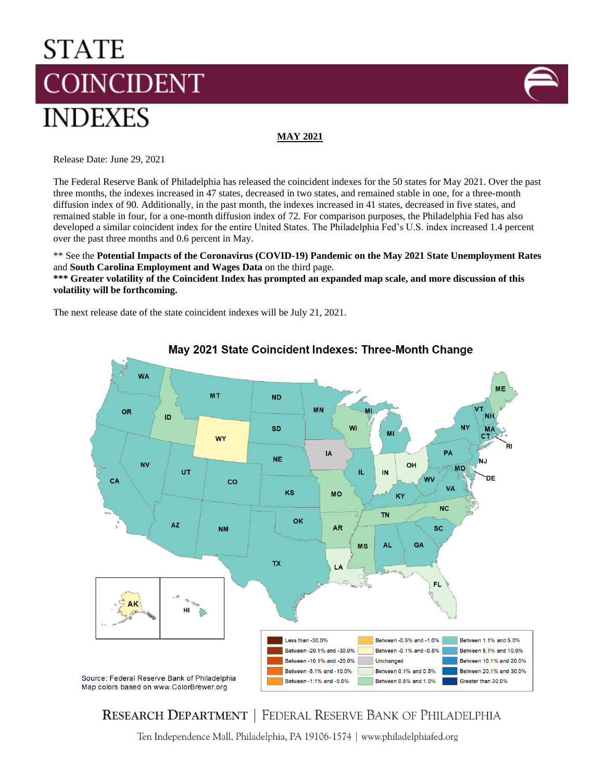# **STATE COINCIDENT INDEXES**



**MAY 2021**

Release Date: June 29, 2021

The Federal Reserve Bank of Philadelphia has released the coincident indexes for the 50 states for May 2021. Over the past three months, the indexes increased in 47 states, decreased in two states, and remained stable in one, for a three-month diffusion index of 90. Additionally, in the past month, the indexes increased in 41 states, decreased in five states, and remained stable in four, for a one-month diffusion index of 72. For comparison purposes, the Philadelphia Fed has also developed a similar coincident index for the entire United States. The Philadelphia Fed's U.S. index increased 1.4 percent over the past three months and 0.6 percent in May.

\*\* See the **Potential Impacts of the Coronavirus (COVID-19) Pandemic on the May 2021 State Unemployment Rates** and **South Carolina Employment and Wages Data** on the third page.

**\*\*\* Greater volatility of the Coincident Index has prompted an expanded map scale, and more discussion of this volatility will be forthcoming.**

The next release date of the state coincident indexes will be July 21, 2021.



May 2021 State Coincident Indexes: Three-Month Change

# **RESEARCH DEPARTMENT | FEDERAL RESERVE BANK OF PHILADELPHIA**

Ten Independence Mall, Philadelphia, PA 19106-1574 | www.philadelphiafed.org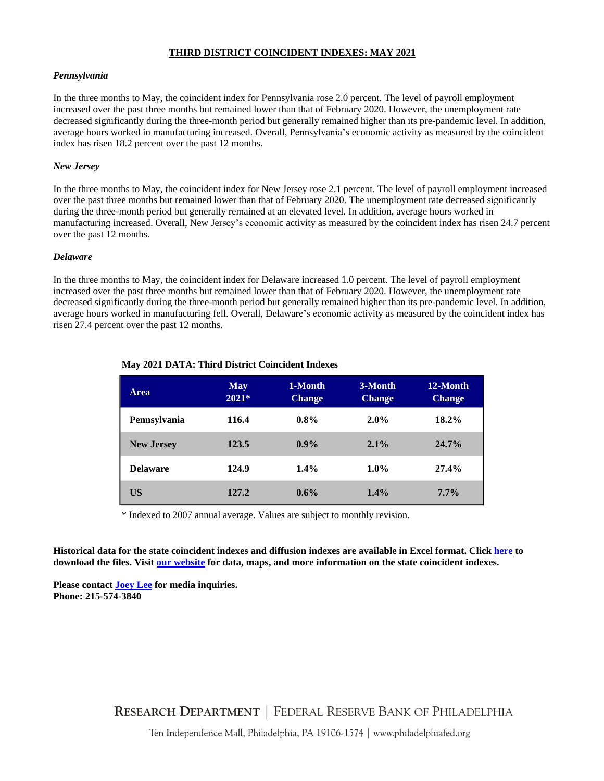#### **THIRD DISTRICT COINCIDENT INDEXES: MAY 2021**

#### *Pennsylvania*

In the three months to May, the coincident index for Pennsylvania rose 2.0 percent. The level of payroll employment increased over the past three months but remained lower than that of February 2020. However, the unemployment rate decreased significantly during the three-month period but generally remained higher than its pre-pandemic level. In addition, average hours worked in manufacturing increased. Overall, Pennsylvania's economic activity as measured by the coincident index has risen 18.2 percent over the past 12 months.

#### *New Jersey*

In the three months to May, the coincident index for New Jersey rose 2.1 percent. The level of payroll employment increased over the past three months but remained lower than that of February 2020. The unemployment rate decreased significantly during the three-month period but generally remained at an elevated level. In addition, average hours worked in manufacturing increased. Overall, New Jersey's economic activity as measured by the coincident index has risen 24.7 percent over the past 12 months.

#### *Delaware*

In the three months to May, the coincident index for Delaware increased 1.0 percent. The level of payroll employment increased over the past three months but remained lower than that of February 2020. However, the unemployment rate decreased significantly during the three-month period but generally remained higher than its pre-pandemic level. In addition, average hours worked in manufacturing fell. Overall, Delaware's economic activity as measured by the coincident index has risen 27.4 percent over the past 12 months.

| <b>Area</b>       | <b>May</b><br>$2021*$ | 1-Month<br><b>Change</b> | 3-Month<br><b>Change</b> | 12-Month<br><b>Change</b> |
|-------------------|-----------------------|--------------------------|--------------------------|---------------------------|
| Pennsylvania      | 116.4                 | $0.8\%$                  | $2.0\%$                  | $18.2\%$                  |
| <b>New Jersey</b> | 123.5                 | $0.9\%$                  | $2.1\%$                  | $24.7\%$                  |
| <b>Delaware</b>   | 124.9                 | 1.4%                     | $1.0\%$                  | 27.4%                     |
| US                | 127.2                 | 0.6%                     | 1.4%                     | $7.7\%$                   |

## **May 2021 DATA: Third District Coincident Indexes**

\* Indexed to 2007 annual average. Values are subject to monthly revision.

**Historical data for the state coincident indexes and diffusion indexes are available in Excel format. Click [here](https://www.philadelphiafed.org/-/media/frbp/assets/surveys-and-data/coincident/coincident-revised.xls) to download the files. Visi[t our website](http://www.philadelphiafed.org/research-and-data/regional-economy/indexes/coincident/) for data, maps, and more information on the state coincident indexes.**

**Please contac[t Joey Lee](mailto:Joey.Lee@phil.frb.org?subject=Coincident%20Indexes) for media inquiries. Phone: 215-574-3840**

**RESEARCH DEPARTMENT | FEDERAL RESERVE BANK OF PHILADELPHIA** 

Ten Independence Mall, Philadelphia, PA 19106-1574 | www.philadelphiafed.org